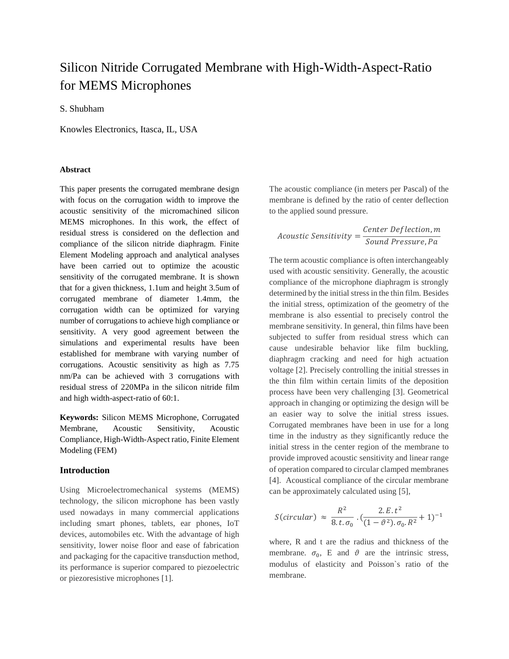# Silicon Nitride Corrugated Membrane with High-Width-Aspect-Ratio for MEMS Microphones

S. Shubham

Knowles Electronics, Itasca, IL, USA

## **Abstract**

This paper presents the corrugated membrane design with focus on the corrugation width to improve the acoustic sensitivity of the micromachined silicon MEMS microphones. In this work, the effect of residual stress is considered on the deflection and compliance of the silicon nitride diaphragm. Finite Element Modeling approach and analytical analyses have been carried out to optimize the acoustic sensitivity of the corrugated membrane. It is shown that for a given thickness, 1.1um and height 3.5um of corrugated membrane of diameter 1.4mm, the corrugation width can be optimized for varying number of corrugations to achieve high compliance or sensitivity. A very good agreement between the simulations and experimental results have been established for membrane with varying number of corrugations. Acoustic sensitivity as high as 7.75 nm/Pa can be achieved with 3 corrugations with residual stress of 220MPa in the silicon nitride film and high width-aspect-ratio of 60:1.

**Keywords:** Silicon MEMS Microphone, Corrugated Membrane, Acoustic Sensitivity, Acoustic Compliance, High-Width-Aspect ratio, Finite Element Modeling (FEM)

### **Introduction**

Using Microelectromechanical systems (MEMS) technology, the silicon microphone has been vastly used nowadays in many commercial applications including smart phones, tablets, ear phones, IoT devices, automobiles etc. With the advantage of high sensitivity, lower noise floor and ease of fabrication and packaging for the capacitive transduction method, its performance is superior compared to piezoelectric or piezoresistive microphones [1].

The acoustic compliance (in meters per Pascal) of the membrane is defined by the ratio of center deflection to the applied sound pressure.

 $A\text{constic Sensitivity} = \frac{\text{Center Deflection}, m}{\text{Simplify}}$ Sound Pressure, Pa

The term acoustic compliance is often interchangeably used with acoustic sensitivity. Generally, the acoustic compliance of the microphone diaphragm is strongly determined by the initial stress in the thin film. Besides the initial stress, optimization of the geometry of the membrane is also essential to precisely control the membrane sensitivity. In general, thin films have been subjected to suffer from residual stress which can cause undesirable behavior like film buckling, diaphragm cracking and need for high actuation voltage [2]. Precisely controlling the initial stresses in the thin film within certain limits of the deposition process have been very challenging [3]. Geometrical approach in changing or optimizing the design will be an easier way to solve the initial stress issues. Corrugated membranes have been in use for a long time in the industry as they significantly reduce the initial stress in the center region of the membrane to provide improved acoustic sensitivity and linear range of operation compared to circular clamped membranes [4]. Acoustical compliance of the circular membrane can be approximately calculated using [5],

$$
S(circular) \approx \frac{R^2}{8 \cdot t \cdot \sigma_0} \cdot \left(\frac{2 \cdot E \cdot t^2}{(1 - \vartheta^2) \cdot \sigma_0 \cdot R^2} + 1\right)^{-1}
$$

where, R and t are the radius and thickness of the membrane.  $\sigma_0$ , E and  $\vartheta$  are the intrinsic stress, modulus of elasticity and Poisson`s ratio of the membrane.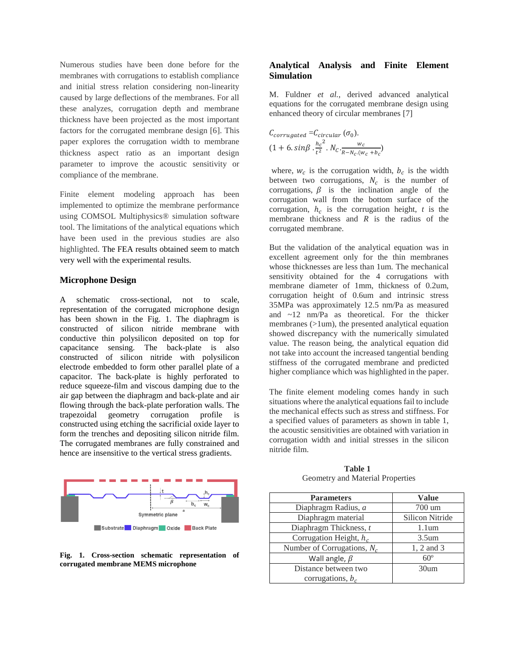Numerous studies have been done before for the membranes with corrugations to establish compliance and initial stress relation considering non-linearity caused by large deflections of the membranes. For all these analyzes, corrugation depth and membrane thickness have been projected as the most important factors for the corrugated membrane design [6]. This paper explores the corrugation width to membrane thickness aspect ratio as an important design parameter to improve the acoustic sensitivity or compliance of the membrane.

Finite element modeling approach has been implemented to optimize the membrane performance using COMSOL Multiphysics® simulation software tool. The limitations of the analytical equations which have been used in the previous studies are also highlighted. The FEA results obtained seem to match very well with the experimental results.

#### **Microphone Design**

A schematic cross-sectional, not to scale, representation of the corrugated microphone design has been shown in the Fig. 1. The diaphragm is constructed of silicon nitride membrane with conductive thin polysilicon deposited on top for capacitance sensing. The back-plate is also constructed of silicon nitride with polysilicon electrode embedded to form other parallel plate of a capacitor. The back-plate is highly perforated to reduce squeeze-film and viscous damping due to the air gap between the diaphragm and back-plate and air flowing through the back-plate perforation walls. The trapezoidal geometry corrugation profile is constructed using etching the sacrificial oxide layer to form the trenches and depositing silicon nitride film. The corrugated membranes are fully constrained and hence are insensitive to the vertical stress gradients.



**Fig. 1. Cross-section schematic representation of corrugated membrane MEMS microphone**

## **Analytical Analysis and Finite Element Simulation**

M. Fuldner *et al.,* derived advanced analytical equations for the corrugated membrane design using enhanced theory of circular membranes [7]

$$
C_{corrugated} = C_{circular} (\sigma_0).
$$
  
(1 + 6. sin $\beta$ .  $\frac{h_c^2}{t^2}$ .  $N_C \cdot \frac{w_c}{R - N_C (w_c + b_c)}$ 

where,  $w_c$  is the corrugation width,  $b_c$  is the width between two corrugations,  $N_c$  is the number of corrugations,  $\beta$  is the inclination angle of the corrugation wall from the bottom surface of the corrugation,  $h_c$  is the corrugation height,  $t$  is the membrane thickness and *R* is the radius of the corrugated membrane.

But the validation of the analytical equation was in excellent agreement only for the thin membranes whose thicknesses are less than 1um. The mechanical sensitivity obtained for the 4 corrugations with membrane diameter of 1mm, thickness of 0.2um, corrugation height of 0.6um and intrinsic stress 35MPa was approximately 12.5 nm/Pa as measured and  $\sim$ 12 nm/Pa as theoretical. For the thicker membranes (>1um), the presented analytical equation showed discrepancy with the numerically simulated value. The reason being, the analytical equation did not take into account the increased tangential bending stiffness of the corrugated membrane and predicted higher compliance which was highlighted in the paper.

The finite element modeling comes handy in such situations where the analytical equations fail to include the mechanical effects such as stress and stiffness. For a specified values of parameters as shown in table 1, the acoustic sensitivities are obtained with variation in corrugation width and initial stresses in the silicon nitride film.

| <b>Parameters</b>             | <b>Value</b>      |  |  |
|-------------------------------|-------------------|--|--|
| Diaphragm Radius, a           | 700 um            |  |  |
| Diaphragm material            | Silicon Nitride   |  |  |
| Diaphragm Thickness, t        | 1.1 <sub>um</sub> |  |  |
| Corrugation Height, $h_c$     | 3.5 <sub>um</sub> |  |  |
| Number of Corrugations, $N_c$ | 1, 2 and 3        |  |  |
| Wall angle, $\beta$           | $60^\circ$        |  |  |
| Distance between two          | 30 <sub>um</sub>  |  |  |
| corrugations, $b_c$           |                   |  |  |

 **Table 1** Geometry and Material Properties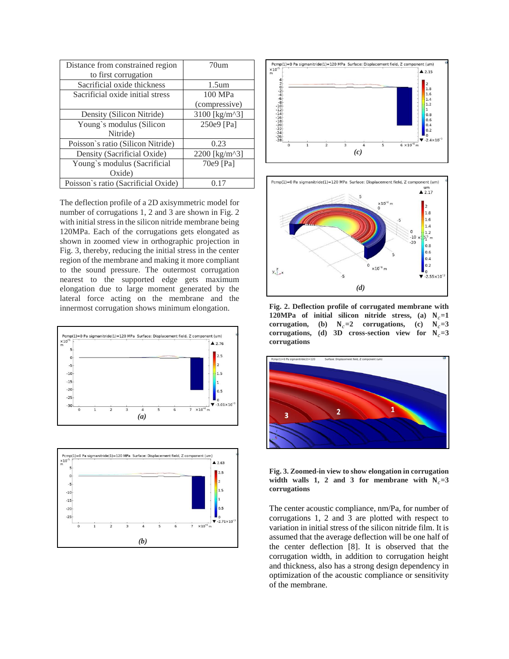| Distance from constrained region<br>to first corrugation | 70 <sub>um</sub>         |  |  |
|----------------------------------------------------------|--------------------------|--|--|
| Sacrificial oxide thickness                              | 1.5 <sub>um</sub>        |  |  |
| Sacrificial oxide initial stress                         | 100 MPa                  |  |  |
|                                                          | (compressive)            |  |  |
| Density (Silicon Nitride)                                | 3100 [ $\text{kg/m}^3$ ] |  |  |
| Young's modulus (Silicon                                 | 250e9 [Pa]               |  |  |
| Nitride)                                                 |                          |  |  |
| Poisson's ratio (Silicon Nitride)                        | 0.23                     |  |  |
| Density (Sacrificial Oxide)                              | 2200 [kg/m^3]            |  |  |
| Young's modulus (Sacrificial                             | 70e9 [Pa]                |  |  |
| Oxide                                                    |                          |  |  |
| Poisson's ratio (Sacrificial Oxide)                      |                          |  |  |

The deflection profile of a 2D axisymmetric model for number of corrugations 1, 2 and 3 are shown in Fig. 2 with initial stress in the silicon nitride membrane being 120MPa. Each of the corrugations gets elongated as shown in zoomed view in orthographic projection in Fig. 3, thereby, reducing the initial stress in the center region of the membrane and making it more compliant to the sound pressure. The outermost corrugation nearest to the supported edge gets maximum elongation due to large moment generated by the lateral force acting on the membrane and the innermost corrugation shows minimum elongation.









**Fig. 2. Deflection profile of corrugated membrane with 120MPa of initial silicon nitride stress, (a)**  $N_c=1$ **corrugation,** (b)  $N_c=2$  **corrugations,** (c)  $N_c=3$ corrugations, (d) 3D cross-section view for  $N_c=3$ **corrugations**



**Fig. 3. Zoomed-in view to show elongation in corrugation**  width walls 1, 2 and 3 for membrane with  $N_c = 3$ **corrugations**

The center acoustic compliance, nm/Pa, for number of corrugations 1, 2 and 3 are plotted with respect to variation in initial stress of the silicon nitride film. It is assumed that the average deflection will be one half of the center deflection [8]. It is observed that the corrugation width, in addition to corrugation height and thickness, also has a strong design dependency in optimization of the acoustic compliance or sensitivity of the membrane.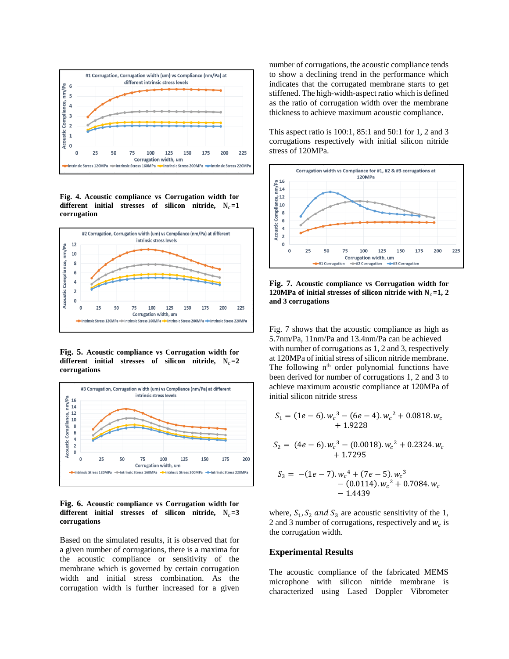

**Fig. 4. Acoustic compliance vs Corrugation width for**  different initial stresses of silicon nitride,  $N_c = 1$ **corrugation**



**Fig. 5. Acoustic compliance vs Corrugation width for**  different initial stresses of silicon nitride,  $N_c = 2$ **corrugations**



#### **Fig. 6. Acoustic compliance vs Corrugation width for**  different initial stresses of silicon nitride,  $N_c = 3$ **corrugations**

Based on the simulated results, it is observed that for a given number of corrugations, there is a maxima for the acoustic compliance or sensitivity of the membrane which is governed by certain corrugation width and initial stress combination. As the corrugation width is further increased for a given number of corrugations, the acoustic compliance tends to show a declining trend in the performance which indicates that the corrugated membrane starts to get stiffened. The high-width-aspect ratio which is defined as the ratio of corrugation width over the membrane thickness to achieve maximum acoustic compliance.

This aspect ratio is 100:1, 85:1 and 50:1 for 1, 2 and 3 corrugations respectively with initial silicon nitride stress of 120MPa.



**Fig. 7. Acoustic compliance vs Corrugation width for 120MPa of initial stresses of silicon nitride with**  $N_c = 1$ **, 2 and 3 corrugations**

Fig. 7 shows that the acoustic compliance as high as 5.7nm/Pa, 11nm/Pa and 13.4nm/Pa can be achieved with number of corrugations as 1, 2 and 3, respectively at 120MPa of initial stress of silicon nitride membrane. The following  $n<sup>th</sup>$  order polynomial functions have been derived for number of corrugations 1, 2 and 3 to achieve maximum acoustic compliance at 120MPa of initial silicon nitride stress

$$
S_1 = (1e - 6) . w_c^3 - (6e - 4) . w_c^2 + 0.0818 . w_c + 1.9228
$$

$$
S_2 = (4e - 6) . w_c^3 - (0.0018) . w_c^2 + 0.2324 . w_c
$$
  
+ 1.7295

$$
S_3 = -(1e-7) . w_c^4 + (7e-5) . w_c^3 - (0.0114) . w_c^2 + 0.7084 . w_c - 1.4439
$$

where,  $S_1$ ,  $S_2$  and  $S_3$  are acoustic sensitivity of the 1, 2 and 3 number of corrugations, respectively and  $w_c$  is the corrugation width.

## **Experimental Results**

The acoustic compliance of the fabricated MEMS microphone with silicon nitride membrane is characterized using Lased Doppler Vibrometer